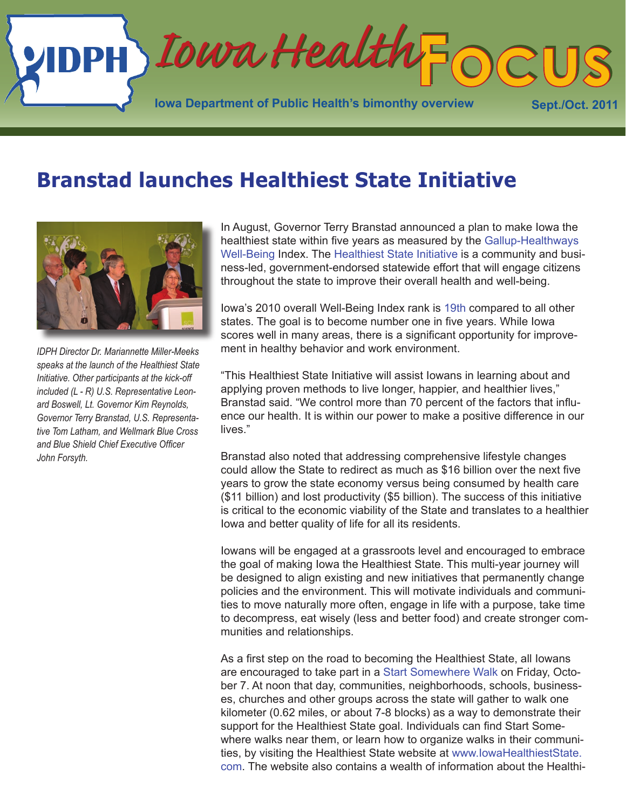

### **Branstad launches Healthiest State Initiative**



*IDPH Director Dr. Mariannette Miller-Meeks speaks at the launch of the Healthiest State Initiative. Other participants at the kick-off included (L - R) U.S. Representative Leonard Boswell, Lt. Governor Kim Reynolds, Governor Terry Branstad, U.S. Representative Tom Latham, and Wellmark Blue Cross and Blue Shield Chief Executive Officer John Forsyth.*

In August, Governor Terry Branstad announced a plan to make Iowa the healthiest state within five years as measured by the [Gallup-Healthways](http://www.well-beingindex.com/default.asp)  [Well-Being](http://www.well-beingindex.com/default.asp) Index. The [Healthiest State Initiative](http://www.iowahealthieststate.com) is a community and business-led, government-endorsed statewide effort that will engage citizens throughout the state to improve their overall health and well-being.

Iowa's 2010 overall Well-Being Index rank is [19th](http://www.well-beingindex.com/files/2011WBIrankings/LowRes/IA_StateReport.pdf) compared to all other states. The goal is to become number one in five years. While Iowa scores well in many areas, there is a significant opportunity for improvement in healthy behavior and work environment.

"This Healthiest State Initiative will assist Iowans in learning about and applying proven methods to live longer, happier, and healthier lives," Branstad said. "We control more than 70 percent of the factors that influence our health. It is within our power to make a positive difference in our lives."

Branstad also noted that addressing comprehensive lifestyle changes could allow the State to redirect as much as \$16 billion over the next five years to grow the state economy versus being consumed by health care (\$11 billion) and lost productivity (\$5 billion). The success of this initiative is critical to the economic viability of the State and translates to a healthier Iowa and better quality of life for all its residents.

Iowans will be engaged at a grassroots level and encouraged to embrace the goal of making Iowa the Healthiest State. This multi-year journey will be designed to align existing and new initiatives that permanently change policies and the environment. This will motivate individuals and communities to move naturally more often, engage in life with a purpose, take time to decompress, eat wisely (less and better food) and create stronger communities and relationships.

As a first step on the road to becoming the Healthiest State, all Iowans are encouraged to take part in a [Start Somewhere Walk](http://www.iowahealthieststate.com/start-somewhere-walk) on Friday, October 7. At noon that day, communities, neighborhoods, schools, businesses, churches and other groups across the state will gather to walk one kilometer (0.62 miles, or about 7-8 blocks) as a way to demonstrate their support for the Healthiest State goal. Individuals can find Start Somewhere walks near them, or learn how to organize walks in their communities, by visiting the Healthiest State website at [www.IowaHealthiestState.](http://www.IowaHealthiestState.com) [com](http://www.IowaHealthiestState.com). The website also contains a wealth of information about the Healthi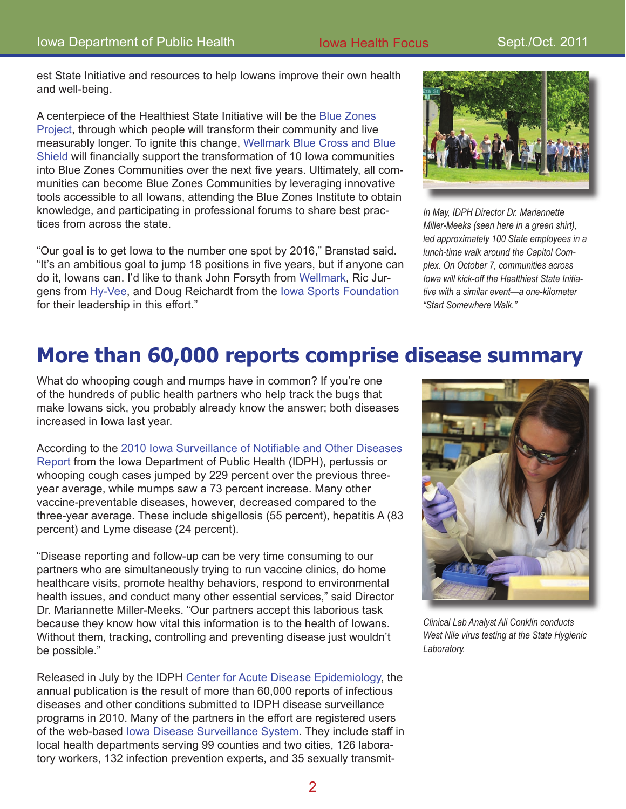est State Initiative and resources to help Iowans improve their own health and well-being.

A centerpiece of the Healthiest State Initiative will be the [Blue Zones](http://www.iowahealthieststate.com/blue-zones)  [Project](http://www.iowahealthieststate.com/blue-zones), through which people will transform their community and live measurably longer. To ignite this change, [Wellmark Blue Cross and Blue](http://www.wellmark.com/)  [Shield](http://www.wellmark.com/) will financially support the transformation of 10 Iowa communities into Blue Zones Communities over the next five years. Ultimately, all communities can become Blue Zones Communities by leveraging innovative tools accessible to all Iowans, attending the Blue Zones Institute to obtain knowledge, and participating in professional forums to share best practices from across the state.

"Our goal is to get Iowa to the number one spot by 2016," Branstad said. "It's an ambitious goal to jump 18 positions in five years, but if anyone can do it, Iowans can. I'd like to thank John Forsyth from [Wellmark](http://www.wellmark.com/), Ric Jurgens from [Hy-Vee](http://www.hy-vee.com/), and Doug Reichardt from the [Iowa Sports Foundation](http://www.iowasportsfoundation.org/) for their leadership in this effort."



*In May, IDPH Director Dr. Mariannette Miller-Meeks (seen here in a green shirt), led approximately 100 State employees in a lunch-time walk around the Capitol Complex. On October 7, communities across Iowa will kick-off the Healthiest State Initiative with a similar event—a one-kilometer "Start Somewhere Walk."* 

### **More than 60,000 reports comprise disease summary**

What do whooping cough and mumps have in common? If you're one of the hundreds of public health partners who help track the bugs that make Iowans sick, you probably already know the answer; both diseases increased in Iowa last year.

According to the [2010 Iowa Surveillance of Notifiable and Other Diseases](http://www.idph.state.ia.us/IDPHChannelsService/file.ashx?file=3F522DE2-4657-435E-ADE3-D42210AF89DB)  [Report](http://www.idph.state.ia.us/IDPHChannelsService/file.ashx?file=3F522DE2-4657-435E-ADE3-D42210AF89DB) from the Iowa Department of Public Health (IDPH), pertussis or whooping cough cases jumped by 229 percent over the previous threeyear average, while mumps saw a 73 percent increase. Many other vaccine-preventable diseases, however, decreased compared to the three-year average. These include shigellosis (55 percent), hepatitis A (83 percent) and Lyme disease (24 percent).

"Disease reporting and follow-up can be very time consuming to our partners who are simultaneously trying to run vaccine clinics, do home healthcare visits, promote healthy behaviors, respond to environmental health issues, and conduct many other essential services," said Director Dr. Mariannette Miller-Meeks. "Our partners accept this laborious task because they know how vital this information is to the health of Iowans. Without them, tracking, controlling and preventing disease just wouldn't be possible."

Released in July by the IDPH [Center for Acute Disease Epidemiology,](http://www.idph.state.ia.us/cade/default.aspx) the annual publication is the result of more than 60,000 reports of infectious diseases and other conditions submitted to IDPH disease surveillance programs in 2010. Many of the partners in the effort are registered users of the web-based [Iowa Disease Surveillance System](http://www.idph.state.ia.us/adper/idss.asp). They include staff in local health departments serving 99 counties and two cities, 126 laboratory workers, 132 infection prevention experts, and 35 sexually transmit-



*Clinical Lab Analyst Ali Conklin conducts West Nile virus testing at the State Hygienic Laboratory.*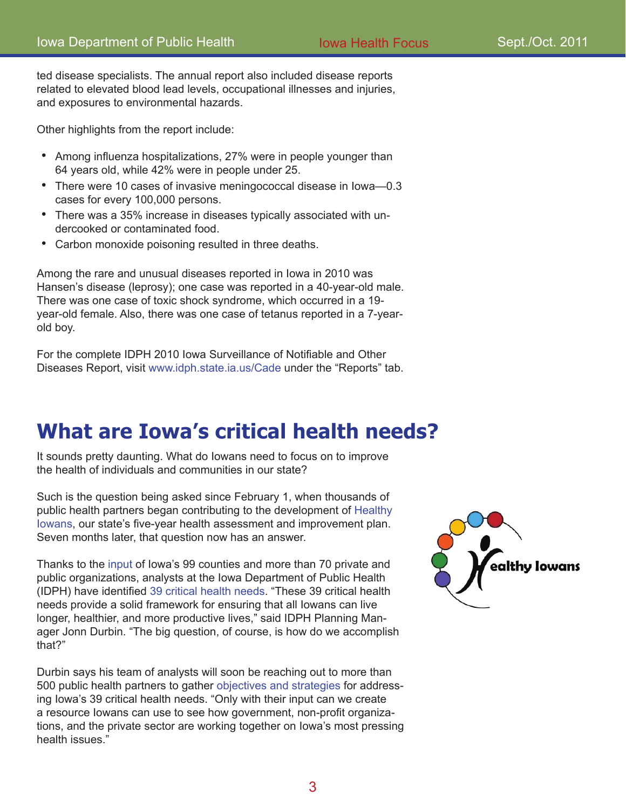ted disease specialists. The annual report also included disease reports related to elevated blood lead levels, occupational illnesses and injuries, and exposures to environmental hazards.

Other highlights from the report include:

- Among influenza hospitalizations, 27% were in people younger than 64 years old, while 42% were in people under 25.
- There were 10 cases of invasive meningococcal disease in lowa-0.3 cases for every 100,000 persons.
- There was a 35% increase in diseases typically associated with un-• dercooked or contaminated food.
- Carbon monoxide poisoning resulted in three deaths. •

Among the rare and unusual diseases reported in Iowa in 2010 was Hansen's disease (leprosy); one case was reported in a 40-year-old male. There was one case of toxic shock syndrome, which occurred in a 19 year-old female. Also, there was one case of tetanus reported in a 7-yearold boy.

For the complete IDPH 2010 Iowa Surveillance of Notifiable and Other Diseases Report, visit [www.idph.state.ia.us/Cade](http://www.idph.state.ia.us/Cade) under the "Reports" tab.

### **What are Iowa's critical health needs?**

It sounds pretty daunting. What do Iowans need to focus on to improve the health of individuals and communities in our state?

Such is the question being asked since February 1, when thousands of public health partners began contributing to the development of [Healthy](http://www.idph.state.ia.us/adper/healthy_iowans.asp)  [Iowans](http://www.idph.state.ia.us/adper/healthy_iowans.asp), our state's five-year health assessment and improvement plan. Seven months later, that question now has an answer.

Thanks to the [input](http://www.idph.state.ia.us/adper/common/pdf/healthy_iowans/methodology.pdf) of Iowa's 99 counties and more than 70 private and public organizations, analysts at the Iowa Department of Public Health (IDPH) have identified [39 critical health needs](http://www.idph.state.ia.us/adper/common/pdf/healthy_iowans/topic_areas_critical_needs.pdf). "These 39 critical health needs provide a solid framework for ensuring that all Iowans can live longer, healthier, and more productive lives," said IDPH Planning Manager Jonn Durbin. "The big question, of course, is how do we accomplish that?"

Durbin says his team of analysts will soon be reaching out to more than 500 public health partners to gather [objectives and strategie](http://www.idph.state.ia.us/adper/healthy_iowans_involved.asp)s for addressing Iowa's 39 critical health needs. "Only with their input can we create a resource Iowans can use to see how government, non-profit organizations, and the private sector are working together on Iowa's most pressing health issues."

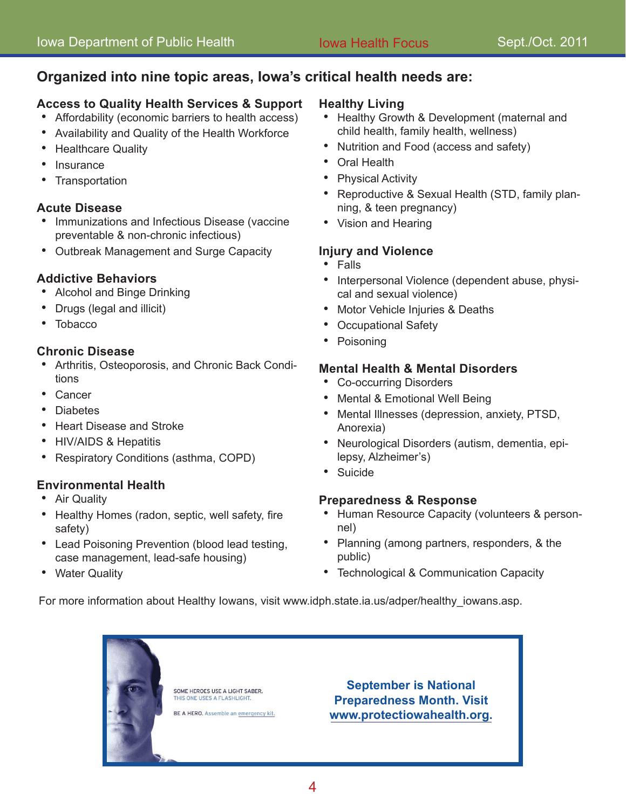#### **Organized into nine topic areas, Iowa's critical health needs are:**

#### **Access to Quality Health Services & Support**

- Affordability (economic barriers to health access) •
- Availability and Quality of the Health Workforce
- Healthcare Quality
- Insurance
- **Transportation** •

#### **Acute Disease**

- Immunizations and Infectious Disease (vaccine preventable & non-chronic infectious)
- Outbreak Management and Surge Capacity

#### **Addictive Behaviors**

- Alcohol and Binge Drinking
- Drugs (legal and illicit)
- Tobacco

#### **Chronic Disease**

- Arthritis, Osteoporosis, and Chronic Back Condi-• tions
- Cancer
- Diabetes
- Heart Disease and Stroke •
- HIV/AIDS & Hepatitis
- Respiratory Conditions (asthma, COPD) •

#### **Environmental Health**

- Air Quality
- Healthy Homes (radon, septic, well safety, fire safety)
- Lead Poisoning Prevention (blood lead testing, case management, lead-safe housing)
- Water Quality

#### **Healthy Living**

- Healthy Growth & Development (maternal and child health, family health, wellness)
- Nutrition and Food (access and safety)
- Oral Health
- Physical Activity
- Reproductive & Sexual Health (STD, family planning, & teen pregnancy)
- Vision and Hearing

#### **Injury and Violence**

- Falls
- Interpersonal Violence (dependent abuse, physical and sexual violence)
- Motor Vehicle Injuries & Deaths
- Occupational Safety
- Poisoning

#### **Mental Health & Mental Disorders**

- Co-occurring Disorders
- Mental & Emotional Well Being
- Mental Illnesses (depression, anxiety, PTSD, Anorexia)
- Neurological Disorders (autism, dementia, epi-• lepsy, Alzheimer's)
- Suicide

#### **Preparedness & Response**

- Human Resource Capacity (volunteers & personnel)
- Planning (among partners, responders, & the public)
- Technological & Communication Capacity •

For more information about Healthy Iowans, visit [www.idph.state.ia.us/adper/healthy\\_iowans.asp](http://www.idph.state.ia.us/adper/healthy_iowans.asp).

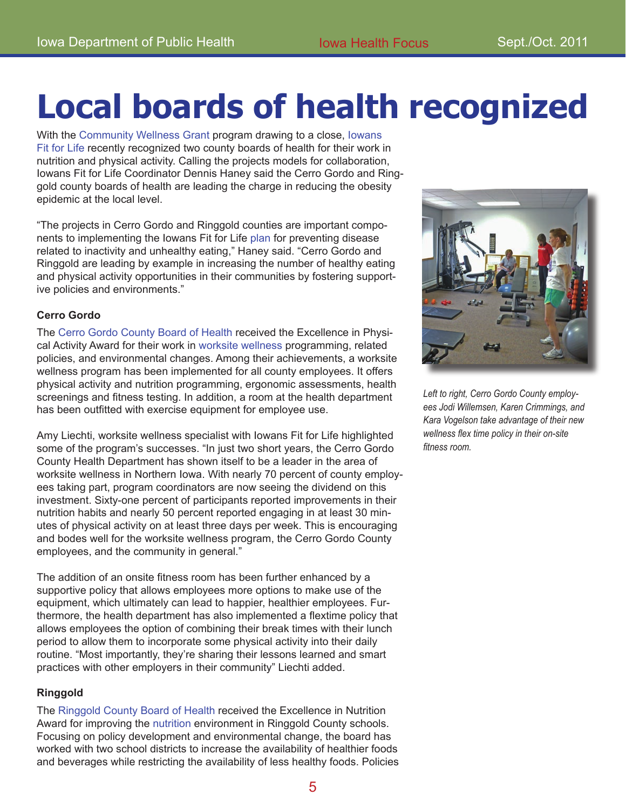# **Local boards of health recognized**

With the [Community Wellness Grant](http://www.idph.state.ia.us/iowansfitforlife/iowa_communities.asp) program drawing to a close, [Iowans](http://www.idph.state.ia.us/iowansfitforlife/default.asp)  [Fit for Lif](http://www.idph.state.ia.us/iowansfitforlife/default.asp)e recently recognized two county boards of health for their work in nutrition and physical activity. Calling the projects models for collaboration, Iowans Fit for Life Coordinator Dennis Haney said the Cerro Gordo and Ringgold county boards of health are leading the charge in reducing the obesity epidemic at the local level.

"The projects in Cerro Gordo and Ringgold counties are important components to implementing the Iowans Fit for Life [plan](http://www.idph.state.ia.us/iowansfitforlife/common/pdf/state_plan.pdf) for preventing disease related to inactivity and unhealthy eating," Haney said. "Cerro Gordo and Ringgold are leading by example in increasing the number of healthy eating and physical activity opportunities in their communities by fostering supportive policies and environments."

#### **Cerro Gordo**

The [Cerro Gordo County Board of Health](http://www.cghealth.com/index.php?option=com_content&view=article&id=428&Itemid=61) received the Excellence in Physical Activity Award for their work in worksite wellness programming, related policies, and environmental changes. Among their achievements, a worksite wellness program has been implemented for all county employees. It offers physical activity and nutrition programming, ergonomic assessments, health screenings and fitness testing. In addition, a room at the health department has been outfitted with exercise equipment for employee use.

Amy Liechti, worksite wellness specialist with Iowans Fit for Life highlighted some of the program's successes. "In just two short years, the Cerro Gordo County Health Department has shown itself to be a leader in the area of worksite wellness in Northern Iowa. With nearly 70 percent of county employees taking part, program coordinators are now seeing the dividend on this investment. Sixty-one percent of participants reported improvements in their nutrition habits and nearly 50 percent reported engaging in at least 30 minutes of physical activity on at least three days per week. This is encouraging and bodes well for the worksite wellness program, the Cerro Gordo County employees, and the community in general."

The addition of an onsite fitness room has been further enhanced by a supportive policy that allows employees more options to make use of the equipment, which ultimately can lead to happier, healthier employees. Furthermore, the health department has also implemented a flextime policy that allows employees the option of combining their break times with their lunch period to allow them to incorporate some physical activity into their daily routine. "Most importantly, they're sharing their lessons learned and smart practices with other employers in their community" Liechti added.

#### **Ringgold**

The [Ringgold County Board of Health](http://www.ringgoldcoia.org/phboh.html) received the Excellence in Nutrition Award for improving the nutrition environment in Ringgold County schools. Focusing on policy development and environmental change, the board has worked with two school districts to increase the availability of healthier foods and beverages while restricting the availability of less healthy foods. Policies



*Left to right, Cerro Gordo County employees Jodi Willemsen, Karen Crimmings, and Kara Vogelson take advantage of their new wellness flex time policy in their on-site fitness room.*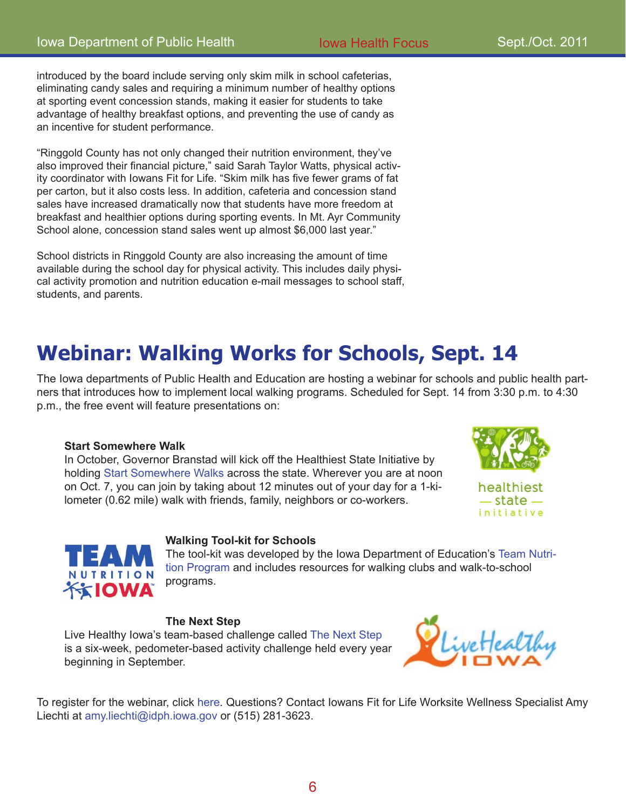introduced by the board include serving only skim milk in school cafeterias, eliminating candy sales and requiring a minimum number of healthy options at sporting event concession stands, making it easier for students to take advantage of healthy breakfast options, and preventing the use of candy as an incentive for student performance.

"Ringgold County has not only changed their nutrition environment, they've also improved their financial picture," said Sarah Taylor Watts, physical activity coordinator with Iowans Fit for Life. "Skim milk has five fewer grams of fat per carton, but it also costs less. In addition, cafeteria and concession stand sales have increased dramatically now that students have more freedom at breakfast and healthier options during sporting events. In Mt. Ayr Community School alone, concession stand sales went up almost \$6,000 last year."

School districts in Ringgold County are also increasing the amount of time available during the school day for physical activity. This includes daily physical activity promotion and nutrition education e-mail messages to school staff, students, and parents.

### **Webinar: Walking Works for Schools, Sept. 14**

The Iowa departments of Public Health and Education are hosting a webinar for schools and public health partners that introduces how to implement local walking programs. Scheduled for Sept. 14 from 3:30 p.m. to 4:30 p.m., the free event will feature presentations on:

#### **Start Somewhere Walk**

In October, Governor Branstad will kick off the Healthiest State Initiative by holding [Start Somewhere Walks](http://www.iowahealthieststate.com/start-somewhere-walk) across the state. Wherever you are at noon on Oct. 7, you can join by taking about 12 minutes out of your day for a 1-kilometer (0.62 mile) walk with friends, family, neighbors or co-workers.





#### **Walking Tool-kit for Schools**

The tool-kit was developed by the Iowa Department of Education's [Team Nutri](http://educateiowa.gov/index.php?option=com_content&task=view&id=373&Itemid=438)[tion Program](http://educateiowa.gov/index.php?option=com_content&task=view&id=373&Itemid=438) and includes resources for walking clubs and walk-to-school programs.

#### **The Next Step**

Live Healthy Iowa's team-based challenge called [The Next Step](http://www.livehealthyiowa.org/aspx/program_pages.aspx?gpid=6) is a six-week, pedometer-based activity challenge held every year beginning in September.



To register for the webinar, click [here](http://educateiowa.gov/index.php?option=com_eventbooking&task=view_event&event_id=588). Questions? Contact Iowans Fit for Life Worksite Wellness Specialist Amy Liechti at [amy.liechti@idph.iowa.gov](mailto:amy.liechti@idph.iowa.gov) or (515) 281-3623.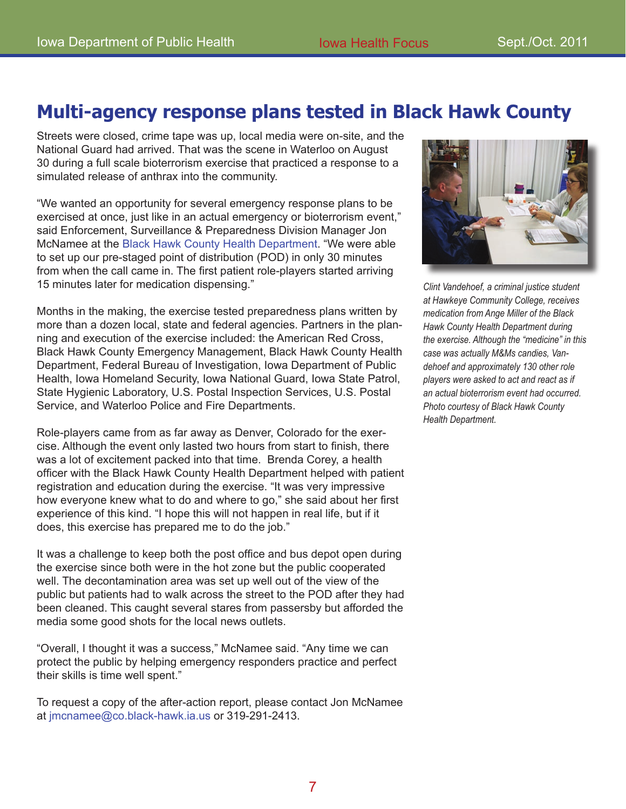### **Multi-agency response plans tested in Black Hawk County**

Streets were closed, crime tape was up, local media were on-site, and the National Guard had arrived. That was the scene in Waterloo on August 30 during a full scale bioterrorism exercise that practiced a response to a simulated release of anthrax into the community.

"We wanted an opportunity for several emergency response plans to be exercised at once, just like in an actual emergency or bioterrorism event," said Enforcement, Surveillance & Preparedness Division Manager Jon McNamee at the [Black Hawk County Health Department](http://co.black-hawk.ia.us/website_health/mainpage.htm). "We were able to set up our pre-staged point of distribution (POD) in only 30 minutes from when the call came in. The first patient role-players started arriving 15 minutes later for medication dispensing."

Months in the making, the exercise tested preparedness plans written by more than a dozen local, state and federal agencies. Partners in the planning and execution of the exercise included: the American Red Cross, Black Hawk County Emergency Management, Black Hawk County Health Department, Federal Bureau of Investigation, Iowa Department of Public Health, Iowa Homeland Security, Iowa National Guard, Iowa State Patrol, State Hygienic Laboratory, U.S. Postal Inspection Services, U.S. Postal Service, and Waterloo Police and Fire Departments.

Role-players came from as far away as Denver, Colorado for the exercise. Although the event only lasted two hours from start to finish, there was a lot of excitement packed into that time. Brenda Corey, a health officer with the Black Hawk County Health Department helped with patient registration and education during the exercise. "It was very impressive how everyone knew what to do and where to go," she said about her first experience of this kind. "I hope this will not happen in real life, but if it does, this exercise has prepared me to do the job."

It was a challenge to keep both the post office and bus depot open during the exercise since both were in the hot zone but the public cooperated well. The decontamination area was set up well out of the view of the public but patients had to walk across the street to the POD after they had been cleaned. This caught several stares from passersby but afforded the media some good shots for the local news outlets.

"Overall, I thought it was a success," McNamee said. "Any time we can protect the public by helping emergency responders practice and perfect their skills is time well spent."

To request a copy of the after-action report, please contact Jon McNamee at [jmcnamee@co.black-hawk.ia.u](mailto:jmcnamee@co.black-hawk.ia.us)s or 319-291-2413.



*Clint Vandehoef, a criminal justice student at Hawkeye Community College, receives medication from Ange Miller of the Black Hawk County Health Department during the exercise. Although the "medicine" in this case was actually M&Ms candies, Vandehoef and approximately 130 other role players were asked to act and react as if an actual bioterrorism event had occurred. Photo courtesy of Black Hawk County Health Department.*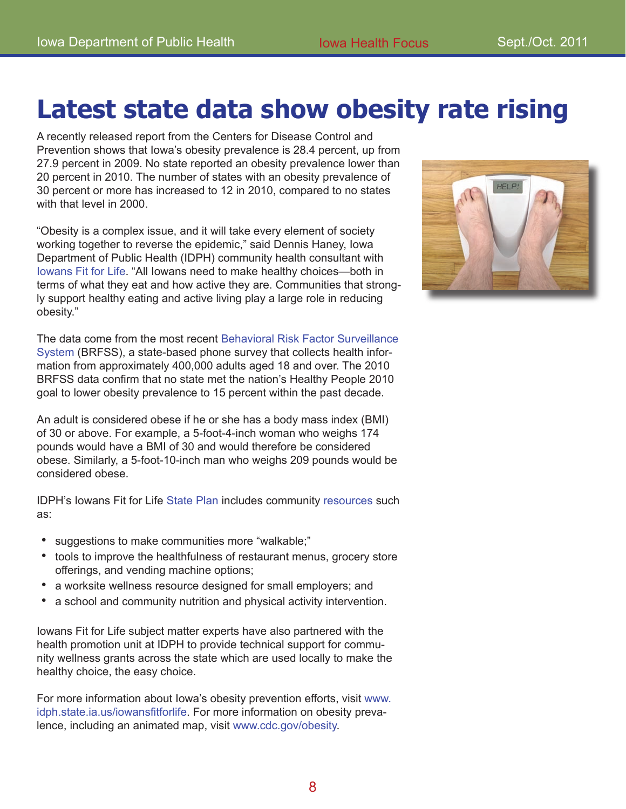## **Latest state data show obesity rate rising**

A recently released report from the Centers for Disease Control and Prevention shows that Iowa's obesity prevalence is 28.4 percent, up from 27.9 percent in 2009. No state reported an obesity prevalence lower than 20 percent in 2010. The number of states with an obesity prevalence of 30 percent or more has increased to 12 in 2010, compared to no states with that level in 2000.

"Obesity is a complex issue, and it will take every element of society working together to reverse the epidemic," said Dennis Haney, Iowa Department of Public Health (IDPH) community health consultant with [Iowans Fit for Lif](http://www.idph.state.ia.us/iowansfitforlife/Default.asp)e. "All Iowans need to make healthy choices—both in terms of what they eat and how active they are. Communities that strongly support healthy eating and active living play a large role in reducing obesity."

The data come from the most recent [Behavioral Risk Factor Surveillance](http://www.idph.state.ia.us/brfss/)  [System](http://www.idph.state.ia.us/brfss/) (BRFSS), a state-based phone survey that collects health information from approximately 400,000 adults aged 18 and over. The 2010 BRFSS data confirm that no state met the nation's Healthy People 2010 goal to lower obesity prevalence to 15 percent within the past decade.

An adult is considered obese if he or she has a body mass index (BMI) of 30 or above. For example, a 5-foot-4-inch woman who weighs 174 pounds would have a BMI of 30 and would therefore be considered obese. Similarly, a 5-foot-10-inch man who weighs 209 pounds would be considered obese.

IDPH's Iowans Fit for Life [State Plan](http://www.idph.state.ia.us/iowansfitforlife/common/pdf/state_plan.pdf) includes community [resources](http://www.idph.state.ia.us/iowansfitforlife/resources.asp) such as:

- suggestions to make communities more "walkable;"
- tools to improve the healthfulness of restaurant menus, grocery store offerings, and vending machine options;
- a worksite wellness resource designed for small employers; and •
- a school and community nutrition and physical activity intervention. •

Iowans Fit for Life subject matter experts have also partnered with the health promotion unit at IDPH to provide technical support for community wellness grants across the state which are used locally to make the healthy choice, the easy choice.

For more information about Iowa's obesity prevention efforts, visit [www.](http://www.idph.state.ia.us/iowansfitforlife) [idph.state.ia.us/iowansfitforlif](http://www.idph.state.ia.us/iowansfitforlife)e. For more information on obesity prevalence, including an animated map, visit [www.cdc.gov/obesit](http://www.cdc.gov/obesity)y.

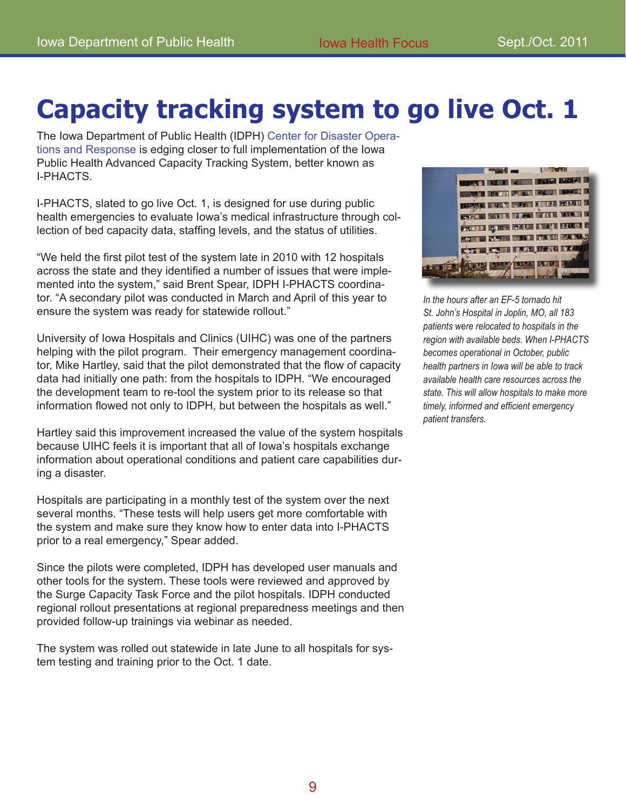# **Capacity tracking system to go live Oct. 1**

The Iowa Department of Public Health (IDPH) [Center for Disaster Opera](http://www.idph.state.ia.us/CDOR/Default.aspx)[tions and Response](http://www.idph.state.ia.us/CDOR/Default.aspx) is edging closer to full implementation of the Iowa Public Health Advanced Capacity Tracking System, better known as I-PHACTS.

I-PHACTS, slated to go live Oct. 1, is designed for use during public health emergencies to evaluate Iowa's medical infrastructure through collection of bed capacity data, staffing levels, and the status of utilities.

"We held the first pilot test of the system late in 2010 with 12 hospitals across the state and they identified a number of issues that were implemented into the system," said Brent Spear, IDPH I-PHACTS coordinator. "A secondary pilot was conducted in March and April of this year to ensure the system was ready for statewide rollout."

University of Iowa Hospitals and Clinics (UIHC) was one of the partners helping with the pilot program. Their emergency management coordinator, Mike Hartley, said that the pilot demonstrated that the flow of capacity data had initially one path: from the hospitals to IDPH. "We encouraged the development team to re-tool the system prior to its release so that information flowed not only to IDPH, but between the hospitals as well."

Hartley said this improvement increased the value of the system hospitals because UIHC feels it is important that all of Iowa's hospitals exchange information about operational conditions and patient care capabilities during a disaster.

Hospitals are participating in a monthly test of the system over the next several months. "These tests will help users get more comfortable with the system and make sure they know how to enter data into I-PHACTS prior to a real emergency," Spear added.

Since the pilots were completed, IDPH has developed user manuals and other tools for the system. These tools were reviewed and approved by the Surge Capacity Task Force and the pilot hospitals. IDPH conducted regional rollout presentations at regional preparedness meetings and then provided follow-up trainings via webinar as needed.

The system was rolled out statewide in late June to all hospitals for system testing and training prior to the Oct. 1 date.



*In the hours after an EF-5 tornado hit St. John's Hospital in Joplin, MO, all 183 patients were relocated to hospitals in the region with available beds. When I-PHACTS becomes operational in October, public health partners in Iowa will be able to track available health care resources across the state. This will allow hospitals to make more timely, informed and efficient emergency patient transfers.*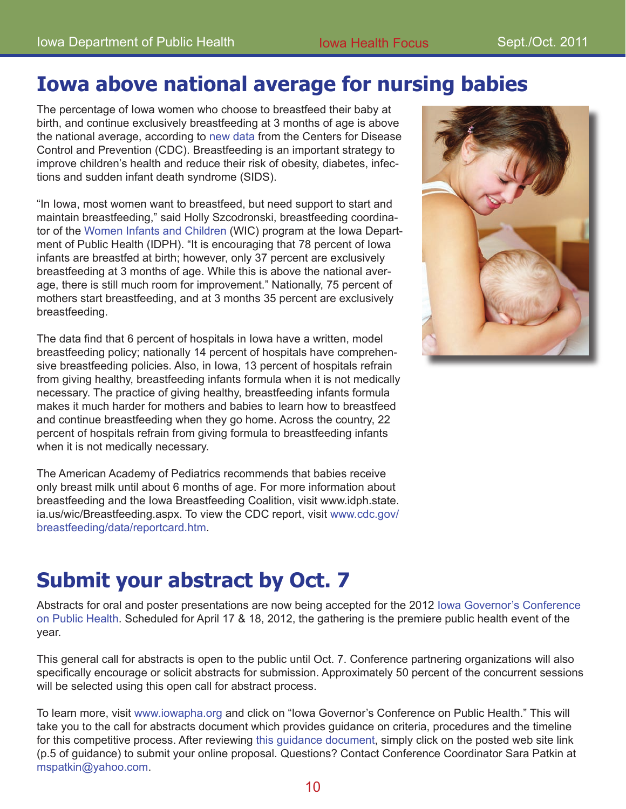### **Iowa above national average for nursing babies**

The percentage of Iowa women who choose to breastfeed their baby at birth, and continue exclusively breastfeeding at 3 months of age is above the national average, according to [new data](http://www.cdc.gov/breastfeeding/data/reportcard.htm) from the Centers for Disease Control and Prevention (CDC). Breastfeeding is an important strategy to improve children's health and reduce their risk of obesity, diabetes, infections and sudden infant death syndrome (SIDS).

"In Iowa, most women want to breastfeed, but need support to start and maintain breastfeeding," said Holly Szcodronski, breastfeeding coordinator of the [Women Infants and Children](http://www.idph.state.ia.us/wic/Breastfeeding.aspx) (WIC) program at the Iowa Department of Public Health (IDPH). "It is encouraging that 78 percent of Iowa infants are breastfed at birth; however, only 37 percent are exclusively breastfeeding at 3 months of age. While this is above the national average, there is still much room for improvement." Nationally, 75 percent of mothers start breastfeeding, and at 3 months 35 percent are exclusively breastfeeding.

The data find that 6 percent of hospitals in Iowa have a written, model breastfeeding policy; nationally 14 percent of hospitals have comprehensive breastfeeding policies. Also, in Iowa, 13 percent of hospitals refrain from giving healthy, breastfeeding infants formula when it is not medically necessary. The practice of giving healthy, breastfeeding infants formula makes it much harder for mothers and babies to learn how to breastfeed and continue breastfeeding when they go home. Across the country, 22 percent of hospitals refrain from giving formula to breastfeeding infants when it is not medically necessary.

The American Academy of Pediatrics recommends that babies receive only breast milk until about 6 months of age. For more information about breastfeeding and the Iowa Breastfeeding Coalition, visit [www.idph.state.](http://www.idph.state.ia.us/wic/Breastfeeding.aspx) [ia.us/wic/Breastfeeding.aspx](http://www.idph.state.ia.us/wic/Breastfeeding.aspx). To view the CDC report, visit [www.cdc.gov/](http://www.cdc.gov/breastfeeding/data/reportcard.htm) [breastfeeding/data/reportcard.ht](http://www.cdc.gov/breastfeeding/data/reportcard.htm)m.

### **Submit your abstract by Oct. 7**

Abstracts for oral and poster presentations are now being accepted for the 2012 [Iowa Governor's Conference](http://www.iowapha.org/Default.aspx?pageId=127969)  [on Public Healt](http://www.iowapha.org/Default.aspx?pageId=127969)h. Scheduled for April 17 & 18, 2012, the gathering is the premiere public health event of the year.

This general call for abstracts is open to the public until Oct. 7. Conference partnering organizations will also specifically encourage or solicit abstracts for submission. Approximately 50 percent of the concurrent sessions will be selected using this open call for abstract process.

To learn more, visit [www.iowapha.org](http://www.iowapha.org/EmailTracker/LinkTracker.ashx?selId=wj9ZpFZWm1rBAZfuC2IcLrIt6XDOwYADWMpqg4BB80tJ4ZnafW6yprd5bAK0RNnj) and click on "[Iowa Governor's Conference on Public Healt](http://www.iowapha.org/EmailTracker/LinkTracker.ashx?selId=CAu%2bOhzk2%2b7um%2bFxtEC1jSp%2bGpXYojv9ACtQpojuq%2fS4elOUuPvANvlxhAZiViYH)h." This will take you to the call for abstracts document which provides guidance on criteria, procedures and the timeline for this competitive process. After reviewing [this guidance document](http://www.iowapha.org/EmailTracker/LinkTracker.ashx?selId=RbpaIuPn4V5%2b2Yjy4oAUzress%2b9I2zIDGvQu0M4QVu2mvJZJrbapRYXeZzAOgcN3), simply click on the posted web site link (p.5 of guidance) to submit your online proposal. Questions? Contact Conference Coordinator Sara Patkin at [mspatkin@yahoo.com.](mailto:mspatkin@yahoo.com)

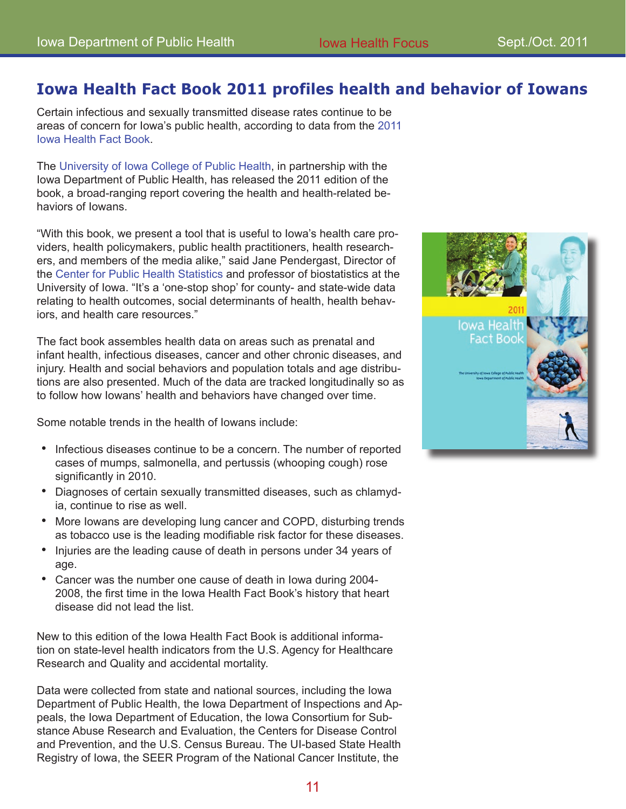#### **Iowa Health Fact Book 2011 profiles health and behavior of Iowans**

Certain infectious and sexually transmitted disease rates continue to be areas of concern for Iowa's public health, according to data from the [2011](http://www.public-health.uiowa.edu/factbook/)  [Iowa Health Fact Book.](http://www.public-health.uiowa.edu/factbook/)

The [University of Iowa College of Public Healt](http://www.public-health.uiowa.edu)h, in partnership with the Iowa Department of Public Health, has released the 2011 edition of the book, a broad-ranging report covering the health and health-related behaviors of Iowans.

"With this book, we present a tool that is useful to Iowa's health care providers, health policymakers, public health practitioners, health researchers, and members of the media alike," said Jane Pendergast, Director of the [Center for Public Health Statistic](http://www.public-health.uiowa.edu/cphs/)s and professor of biostatistics at the University of Iowa. "It's a 'one-stop shop' for county- and state-wide data relating to health outcomes, social determinants of health, health behaviors, and health care resources."

The fact book assembles health data on areas such as prenatal and infant health, infectious diseases, cancer and other chronic diseases, and injury. Health and social behaviors and population totals and age distributions are also presented. Much of the data are tracked longitudinally so as to follow how Iowans' health and behaviors have changed over time.

Some notable trends in the health of Iowans include:

- Infectious diseases continue to be a concern. The number of reported cases of mumps, salmonella, and pertussis (whooping cough) rose significantly in 2010.
- Diagnoses of certain sexually transmitted diseases, such as chlamyd-• ia, continue to rise as well.
- More lowans are developing lung cancer and COPD, disturbing trends as tobacco use is the leading modifiable risk factor for these diseases.
- Injuries are the leading cause of death in persons under 34 years of age.
- Cancer was the number one cause of death in Iowa during 2004- 2008, the first time in the Iowa Health Fact Book's history that heart disease did not lead the list. •

New to this edition of the Iowa Health Fact Book is additional information on state-level health indicators from the U.S. Agency for Healthcare Research and Quality and accidental mortality.

Data were collected from state and national sources, including the Iowa Department of Public Health, the Iowa Department of Inspections and Appeals, the Iowa Department of Education, the Iowa Consortium for Substance Abuse Research and Evaluation, the Centers for Disease Control and Prevention, and the U.S. Census Bureau. The UI-based State Health Registry of Iowa, the SEER Program of the National Cancer Institute, the